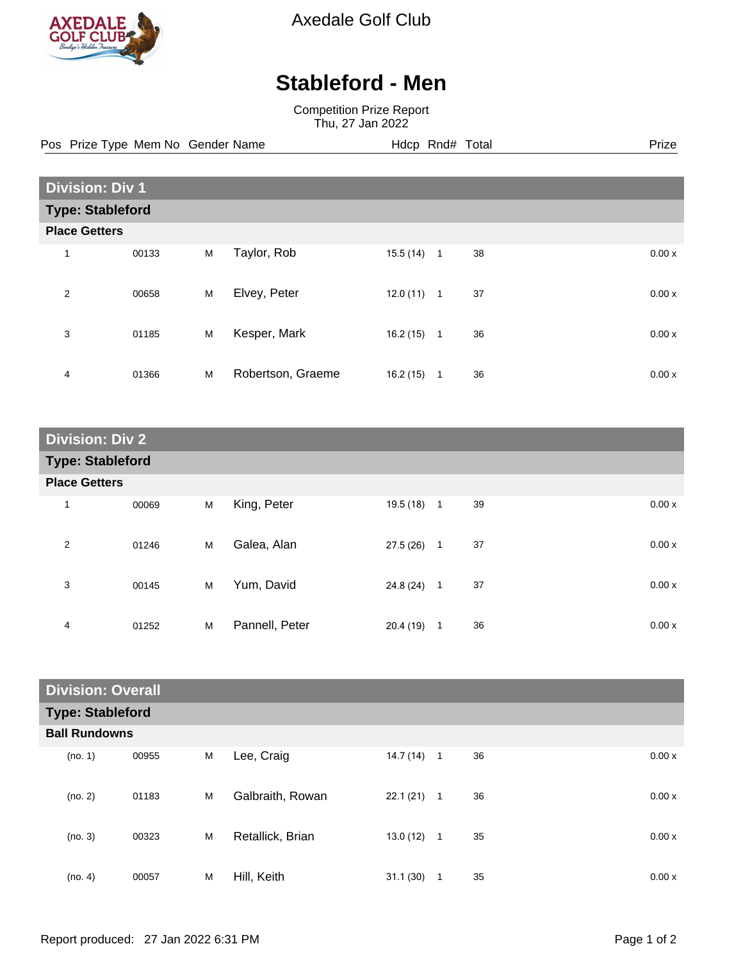

Axedale Golf Club

## **Stableford - Men**

Competition Prize Report Thu, 27 Jan 2022

Pos Prize Type Mem No Gender Name **Hdcp Rnd# Total** Prize Prize

| <b>Division: Div 1</b>  |       |   |                   |          |              |    |  |       |
|-------------------------|-------|---|-------------------|----------|--------------|----|--|-------|
| <b>Type: Stableford</b> |       |   |                   |          |              |    |  |       |
| <b>Place Getters</b>    |       |   |                   |          |              |    |  |       |
| $\mathbf{1}$            | 00133 | M | Taylor, Rob       | 15.5(14) | $\mathbf{1}$ | 38 |  | 0.00x |
| $\overline{2}$          | 00658 | M | Elvey, Peter      | 12.0(11) | $\mathbf{1}$ | 37 |  | 0.00x |
| 3                       | 01185 | M | Kesper, Mark      | 16.2(15) | $\mathbf{1}$ | 36 |  | 0.00x |
| 4                       | 01366 | M | Robertson, Graeme | 16.2(15) | 1            | 36 |  | 0.00x |

| <b>Division: Div 2</b>  |       |   |                |           |                |    |       |
|-------------------------|-------|---|----------------|-----------|----------------|----|-------|
| <b>Type: Stableford</b> |       |   |                |           |                |    |       |
| <b>Place Getters</b>    |       |   |                |           |                |    |       |
| $\mathbf{1}$            | 00069 | M | King, Peter    | 19.5 (18) | $\overline{1}$ | 39 | 0.00x |
| $\overline{2}$          | 01246 | M | Galea, Alan    | 27.5 (26) | $\mathbf{1}$   | 37 | 0.00x |
| 3                       | 00145 | M | Yum, David     | 24.8 (24) | $\mathbf{1}$   | 37 | 0.00x |
| 4                       | 01252 | M | Pannell, Peter | 20.4(19)  | 1              | 36 | 0.00x |

| <b>Division: Overall</b> |       |   |                  |              |              |    |       |
|--------------------------|-------|---|------------------|--------------|--------------|----|-------|
| <b>Type: Stableford</b>  |       |   |                  |              |              |    |       |
| <b>Ball Rundowns</b>     |       |   |                  |              |              |    |       |
| (no. 1)                  | 00955 | M | Lee, Craig       | 14.7(14)     | $\mathbf{1}$ | 36 | 0.00x |
| (no. 2)                  | 01183 | M | Galbraith, Rowan | 22.1(21)     | $\mathbf{1}$ | 36 | 0.00x |
| (no. 3)                  | 00323 | M | Retallick, Brian | $13.0(12)$ 1 |              | 35 | 0.00x |
| (no. 4)                  | 00057 | M | Hill, Keith      | 31.1(30)     | 1            | 35 | 0.00x |